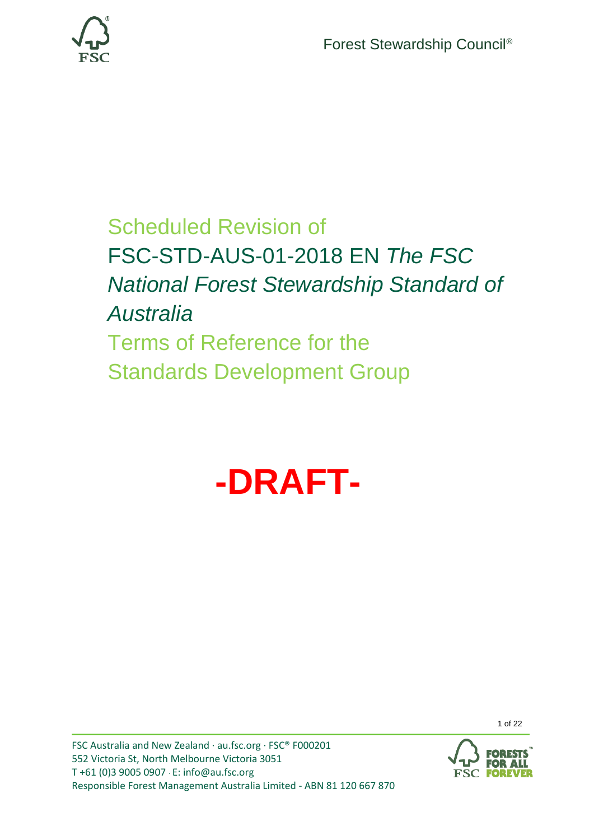

# Scheduled Revision of FSC-STD-AUS-01-2018 EN *The FSC National Forest Stewardship Standard of Australia* Terms of Reference for the Standards Development Group



1 of 22

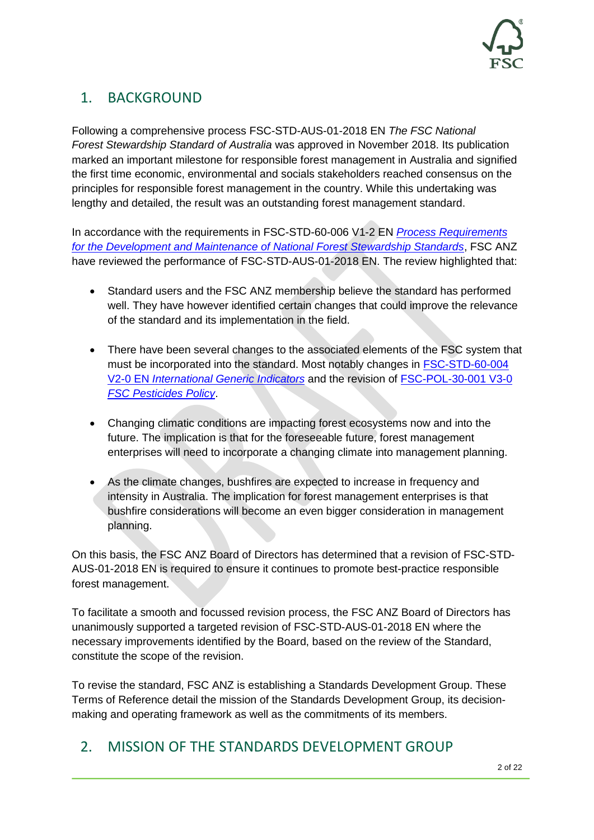# 1. BACKGROUND

Following a comprehensive process FSC-STD-AUS-01-2018 EN *The FSC National Forest Stewardship Standard of Australia* was approved in November 2018. Its publication marked an important milestone for responsible forest management in Australia and signified the first time economic, environmental and socials stakeholders reached consensus on the principles for responsible forest management in the country. While this undertaking was lengthy and detailed, the result was an outstanding forest management standard.

In accordance with the requirements in FSC-STD-60-006 V1-2 EN *[Process Requirements](https://fsc.org/en/document-centre/documents/resource/259)  [for the Development and Maintenance of National Forest Stewardship Standards](https://fsc.org/en/document-centre/documents/resource/259)*, FSC ANZ have reviewed the performance of FSC-STD-AUS-01-2018 EN. The review highlighted that:

- Standard users and the FSC ANZ membership believe the standard has performed well. They have however identified certain changes that could improve the relevance of the standard and its implementation in the field.
- There have been several changes to the associated elements of the FSC system that must be incorporated into the standard. Most notably changes in [FSC-STD-60-004](https://fsc.org/en/document-centre/documents/resource/262)  V2-0 EN *[International Generic Indicators](https://fsc.org/en/document-centre/documents/resource/262)* and the revision of [FSC-POL-30-001 V3-0](https://fsc.org/en/document-centre/documents/resource/208)  *[FSC Pesticides](https://fsc.org/en/document-centre/documents/resource/208) Policy*.
- Changing climatic conditions are impacting forest ecosystems now and into the future. The implication is that for the foreseeable future, forest management enterprises will need to incorporate a changing climate into management planning.
- As the climate changes, bushfires are expected to increase in frequency and intensity in Australia. The implication for forest management enterprises is that bushfire considerations will become an even bigger consideration in management planning.

On this basis, the FSC ANZ Board of Directors has determined that a revision of FSC-STD-AUS-01-2018 EN is required to ensure it continues to promote best-practice responsible forest management.

To facilitate a smooth and focussed revision process, the FSC ANZ Board of Directors has unanimously supported a targeted revision of FSC-STD-AUS-01-2018 EN where the necessary improvements identified by the Board, based on the review of the Standard, constitute the scope of the revision.

To revise the standard, FSC ANZ is establishing a Standards Development Group. These Terms of Reference detail the mission of the Standards Development Group, its decisionmaking and operating framework as well as the commitments of its members.

# 2. MISSION OF THE STANDARDS DEVELOPMENT GROUP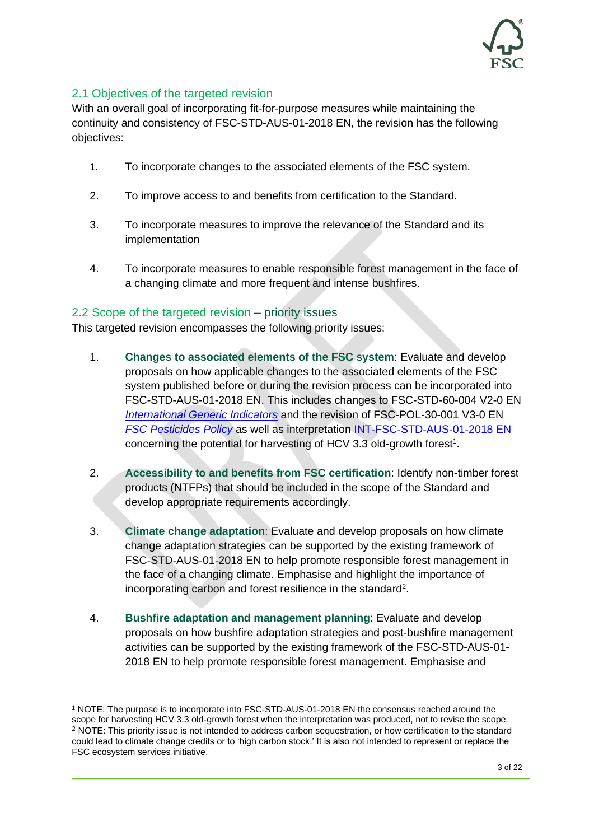

#### 2.1 Objectives of the targeted revision

With an overall goal of incorporating fit-for-purpose measures while maintaining the continuity and consistency of FSC-STD-AUS-01-2018 EN, the revision has the following objectives:

- 1. To incorporate changes to the associated elements of the FSC system.
- 2. To improve access to and benefits from certification to the Standard.
- 3. To incorporate measures to improve the relevance of the Standard and its implementation
- 4. To incorporate measures to enable responsible forest management in the face of a changing climate and more frequent and intense bushfires.

#### 2.2 Scope of the targeted revision – priority issues

This targeted revision encompasses the following priority issues:

- 1. **Changes to associated elements of the FSC system**: Evaluate and develop proposals on how applicable changes to the associated elements of the FSC system published before or during the revision process can be incorporated into FSC-STD-AUS-01-2018 EN. This includes changes to FSC-STD-60-004 V2-0 EN *[International Generic Indicators](https://fsc.org/en/document-centre/documents/resource/262)* and the revision of FSC-POL-30-001 V3-0 EN *[FSC Pesticides Policy](https://fsc.org/en/document-centre/documents/resource/208)* as well as interpretation [INT-FSC-STD-AUS-01-2018 EN](https://au.fsc.org/preview.interpretation-fsc-std-aus-01-201801.a-1614.pdf) concerning the potential for harvesting of HCV 3.3 old-growth forest<sup>1</sup>.
- 2. **Accessibility to and benefits from FSC certification**: Identify non-timber forest products (NTFPs) that should be included in the scope of the Standard and develop appropriate requirements accordingly.
- 3. **Climate change adaptation**: Evaluate and develop proposals on how climate change adaptation strategies can be supported by the existing framework of FSC-STD-AUS-01-2018 EN to help promote responsible forest management in the face of a changing climate. Emphasise and highlight the importance of incorporating carbon and forest resilience in the standard<sup>2</sup>.
- 4. **Bushfire adaptation and management planning**: Evaluate and develop proposals on how bushfire adaptation strategies and post-bushfire management activities can be supported by the existing framework of the FSC-STD-AUS-01- 2018 EN to help promote responsible forest management. Emphasise and

<sup>1</sup> NOTE: The purpose is to incorporate into FSC-STD-AUS-01-2018 EN the consensus reached around the scope for harvesting HCV 3.3 old-growth forest when the interpretation was produced, not to revise the scope. <sup>2</sup> NOTE: This priority issue is not intended to address carbon sequestration, or how certification to the standard could lead to climate change credits or to 'high carbon stock.' It is also not intended to represent or replace the FSC ecosystem services initiative.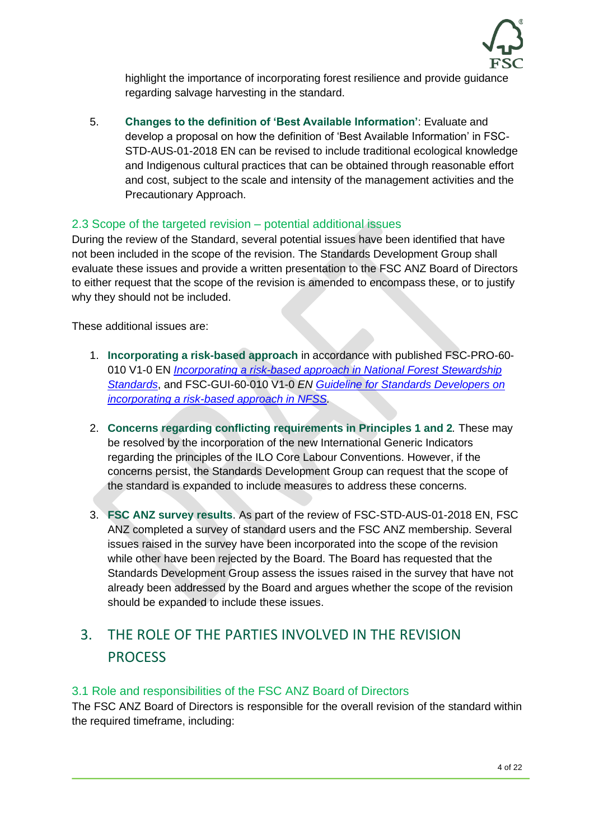

highlight the importance of incorporating forest resilience and provide guidance regarding salvage harvesting in the standard.

5. **Changes to the definition of 'Best Available Information'**: Evaluate and develop a proposal on how the definition of 'Best Available Information' in FSC-STD-AUS-01-2018 EN can be revised to include traditional ecological knowledge and Indigenous cultural practices that can be obtained through reasonable effort and cost, subject to the scale and intensity of the management activities and the Precautionary Approach.

#### 2.3 Scope of the targeted revision – potential additional issues

During the review of the Standard, several potential issues have been identified that have not been included in the scope of the revision. The Standards Development Group shall evaluate these issues and provide a written presentation to the FSC ANZ Board of Directors to either request that the scope of the revision is amended to encompass these, or to justify why they should not be included.

These additional issues are:

- 1. **Incorporating a risk-based approach** in accordance with published FSC-PRO-60- 010 V1-0 EN *[Incorporating a risk-based approach in National Forest Stewardship](https://fsc.org/en/document-centre/documents/resource/214)  [Standards](https://fsc.org/en/document-centre/documents/resource/214)*, and FSC-GUI-60-010 V1-0 *EN [Guideline for Standards Developers on](https://fsc.org/en/document-centre/documents/resource/232)  [incorporating a risk-based approach in NFSS.](https://fsc.org/en/document-centre/documents/resource/232)*
- 2. **Concerns regarding conflicting requirements in Principles 1 and 2***.* These may be resolved by the incorporation of the new International Generic Indicators regarding the principles of the ILO Core Labour Conventions. However, if the concerns persist, the Standards Development Group can request that the scope of the standard is expanded to include measures to address these concerns.
- 3. **FSC ANZ survey results**. As part of the review of FSC-STD-AUS-01-2018 EN, FSC ANZ completed a survey of standard users and the FSC ANZ membership. Several issues raised in the survey have been incorporated into the scope of the revision while other have been rejected by the Board. The Board has requested that the Standards Development Group assess the issues raised in the survey that have not already been addressed by the Board and argues whether the scope of the revision should be expanded to include these issues.

# 3. THE ROLE OF THE PARTIES INVOLVED IN THE REVISION **PROCESS**

#### 3.1 Role and responsibilities of the FSC ANZ Board of Directors

The FSC ANZ Board of Directors is responsible for the overall revision of the standard within the required timeframe, including: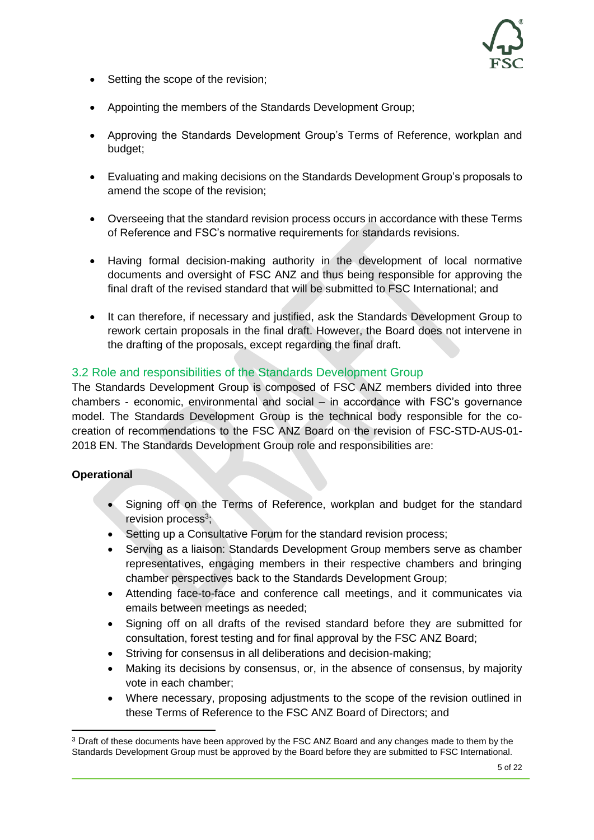

- Setting the scope of the revision;
- Appointing the members of the Standards Development Group;
- Approving the Standards Development Group's Terms of Reference, workplan and budget;
- Evaluating and making decisions on the Standards Development Group's proposals to amend the scope of the revision;
- Overseeing that the standard revision process occurs in accordance with these Terms of Reference and FSC's normative requirements for standards revisions.
- Having formal decision-making authority in the development of local normative documents and oversight of FSC ANZ and thus being responsible for approving the final draft of the revised standard that will be submitted to FSC International; and
- It can therefore, if necessary and justified, ask the Standards Development Group to rework certain proposals in the final draft. However, the Board does not intervene in the drafting of the proposals, except regarding the final draft.

#### 3.2 Role and responsibilities of the Standards Development Group

The Standards Development Group is composed of FSC ANZ members divided into three chambers - economic, environmental and social – in accordance with FSC's governance model. The Standards Development Group is the technical body responsible for the cocreation of recommendations to the FSC ANZ Board on the revision of FSC-STD-AUS-01- 2018 EN. The Standards Development Group role and responsibilities are:

#### **Operational**

- Signing off on the Terms of Reference, workplan and budget for the standard revision process<sup>3</sup>;
- Setting up a Consultative Forum for the standard revision process:
- Serving as a liaison: Standards Development Group members serve as chamber representatives, engaging members in their respective chambers and bringing chamber perspectives back to the Standards Development Group;
- Attending face-to-face and conference call meetings, and it communicates via emails between meetings as needed;
- Signing off on all drafts of the revised standard before they are submitted for consultation, forest testing and for final approval by the FSC ANZ Board;
- Striving for consensus in all deliberations and decision-making;
- Making its decisions by consensus, or, in the absence of consensus, by majority vote in each chamber;
- Where necessary, proposing adjustments to the scope of the revision outlined in these Terms of Reference to the FSC ANZ Board of Directors; and

<sup>3</sup> Draft of these documents have been approved by the FSC ANZ Board and any changes made to them by the Standards Development Group must be approved by the Board before they are submitted to FSC International.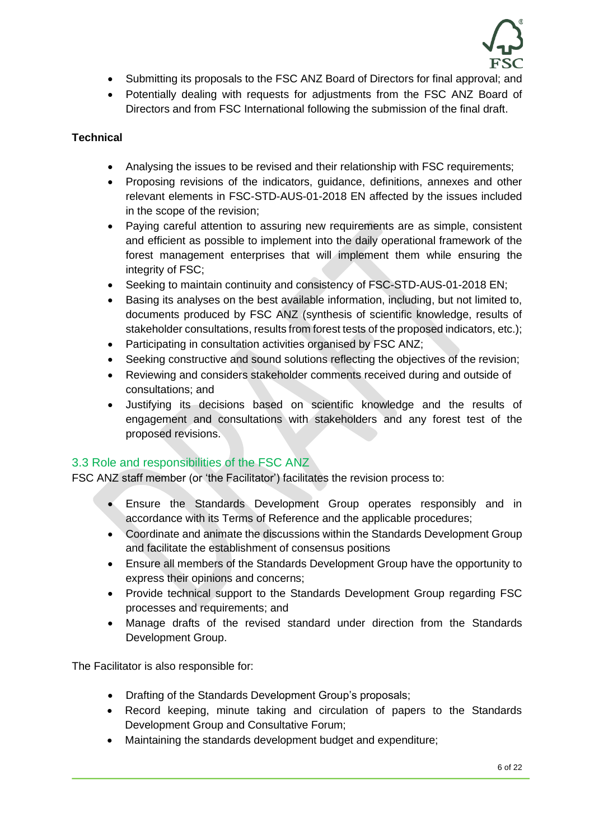

- Submitting its proposals to the FSC ANZ Board of Directors for final approval; and
- Potentially dealing with requests for adjustments from the FSC ANZ Board of Directors and from FSC International following the submission of the final draft.

#### **Technical**

- Analysing the issues to be revised and their relationship with FSC requirements;
- Proposing revisions of the indicators, guidance, definitions, annexes and other relevant elements in FSC-STD-AUS-01-2018 EN affected by the issues included in the scope of the revision;
- Paying careful attention to assuring new requirements are as simple, consistent and efficient as possible to implement into the daily operational framework of the forest management enterprises that will implement them while ensuring the integrity of FSC;
- Seeking to maintain continuity and consistency of FSC-STD-AUS-01-2018 EN;
- Basing its analyses on the best available information, including, but not limited to, documents produced by FSC ANZ (synthesis of scientific knowledge, results of stakeholder consultations, results from forest tests of the proposed indicators, etc.);
- Participating in consultation activities organised by FSC ANZ;
- Seeking constructive and sound solutions reflecting the objectives of the revision;
- Reviewing and considers stakeholder comments received during and outside of consultations; and
- Justifying its decisions based on scientific knowledge and the results of engagement and consultations with stakeholders and any forest test of the proposed revisions.

#### 3.3 Role and responsibilities of the FSC ANZ

FSC ANZ staff member (or 'the Facilitator') facilitates the revision process to:

- Ensure the Standards Development Group operates responsibly and in accordance with its Terms of Reference and the applicable procedures;
- Coordinate and animate the discussions within the Standards Development Group and facilitate the establishment of consensus positions
- Ensure all members of the Standards Development Group have the opportunity to express their opinions and concerns;
- Provide technical support to the Standards Development Group regarding FSC processes and requirements; and
- Manage drafts of the revised standard under direction from the Standards Development Group.

The Facilitator is also responsible for:

- Drafting of the Standards Development Group's proposals;
- Record keeping, minute taking and circulation of papers to the Standards Development Group and Consultative Forum;
- Maintaining the standards development budget and expenditure;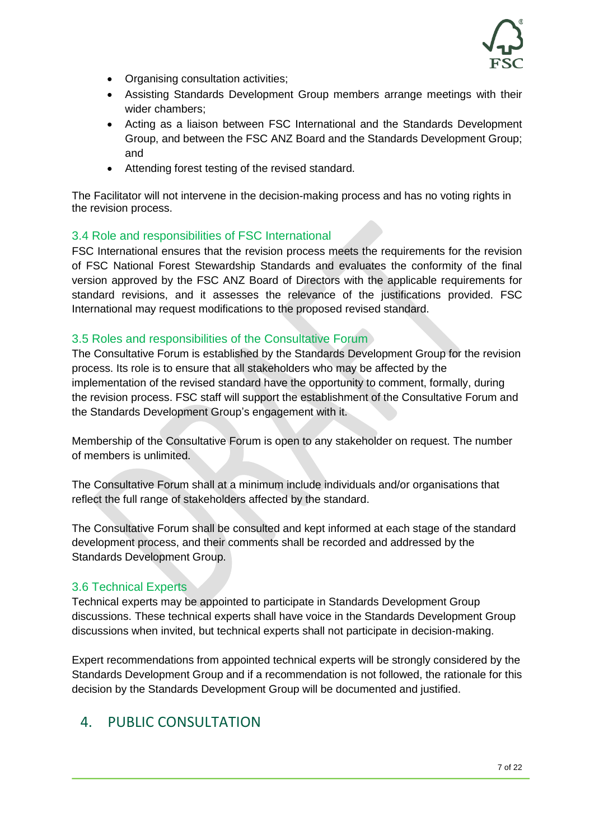

- Organising consultation activities;
- Assisting Standards Development Group members arrange meetings with their wider chambers;
- Acting as a liaison between FSC International and the Standards Development Group, and between the FSC ANZ Board and the Standards Development Group; and
- Attending forest testing of the revised standard.

The Facilitator will not intervene in the decision-making process and has no voting rights in the revision process.

#### 3.4 Role and responsibilities of FSC International

FSC International ensures that the revision process meets the requirements for the revision of FSC National Forest Stewardship Standards and evaluates the conformity of the final version approved by the FSC ANZ Board of Directors with the applicable requirements for standard revisions, and it assesses the relevance of the justifications provided. FSC International may request modifications to the proposed revised standard.

#### 3.5 Roles and responsibilities of the Consultative Forum

The Consultative Forum is established by the Standards Development Group for the revision process. Its role is to ensure that all stakeholders who may be affected by the implementation of the revised standard have the opportunity to comment, formally, during the revision process. FSC staff will support the establishment of the Consultative Forum and the Standards Development Group's engagement with it.

Membership of the Consultative Forum is open to any stakeholder on request. The number of members is unlimited.

The Consultative Forum shall at a minimum include individuals and/or organisations that reflect the full range of stakeholders affected by the standard.

The Consultative Forum shall be consulted and kept informed at each stage of the standard development process, and their comments shall be recorded and addressed by the Standards Development Group.

#### 3.6 Technical Experts

Technical experts may be appointed to participate in Standards Development Group discussions. These technical experts shall have voice in the Standards Development Group discussions when invited, but technical experts shall not participate in decision-making.

Expert recommendations from appointed technical experts will be strongly considered by the Standards Development Group and if a recommendation is not followed, the rationale for this decision by the Standards Development Group will be documented and justified.

# 4. PUBLIC CONSULTATION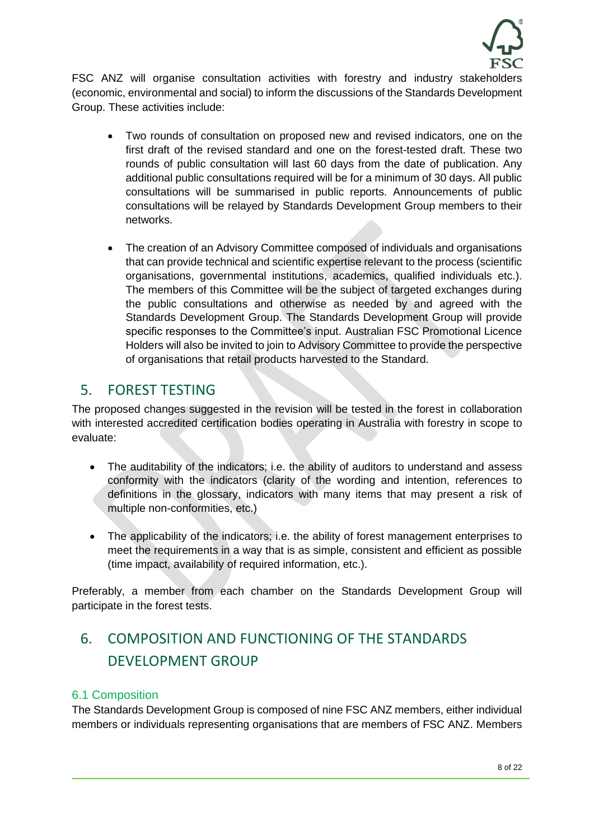

FSC ANZ will organise consultation activities with forestry and industry stakeholders (economic, environmental and social) to inform the discussions of the Standards Development Group. These activities include:

- Two rounds of consultation on proposed new and revised indicators, one on the first draft of the revised standard and one on the forest-tested draft. These two rounds of public consultation will last 60 days from the date of publication. Any additional public consultations required will be for a minimum of 30 days. All public consultations will be summarised in public reports. Announcements of public consultations will be relayed by Standards Development Group members to their networks.
- The creation of an Advisory Committee composed of individuals and organisations that can provide technical and scientific expertise relevant to the process (scientific organisations, governmental institutions, academics, qualified individuals etc.). The members of this Committee will be the subject of targeted exchanges during the public consultations and otherwise as needed by and agreed with the Standards Development Group. The Standards Development Group will provide specific responses to the Committee's input. Australian FSC Promotional Licence Holders will also be invited to join to Advisory Committee to provide the perspective of organisations that retail products harvested to the Standard.

# 5. FOREST TESTING

The proposed changes suggested in the revision will be tested in the forest in collaboration with interested accredited certification bodies operating in Australia with forestry in scope to evaluate:

- The auditability of the indicators; i.e. the ability of auditors to understand and assess conformity with the indicators (clarity of the wording and intention, references to definitions in the glossary, indicators with many items that may present a risk of multiple non-conformities, etc.)
- The applicability of the indicators; i.e. the ability of forest management enterprises to meet the requirements in a way that is as simple, consistent and efficient as possible (time impact, availability of required information, etc.).

Preferably, a member from each chamber on the Standards Development Group will participate in the forest tests.

# 6. COMPOSITION AND FUNCTIONING OF THE STANDARDS DEVELOPMENT GROUP

#### 6.1 Composition

The Standards Development Group is composed of nine FSC ANZ members, either individual members or individuals representing organisations that are members of FSC ANZ. Members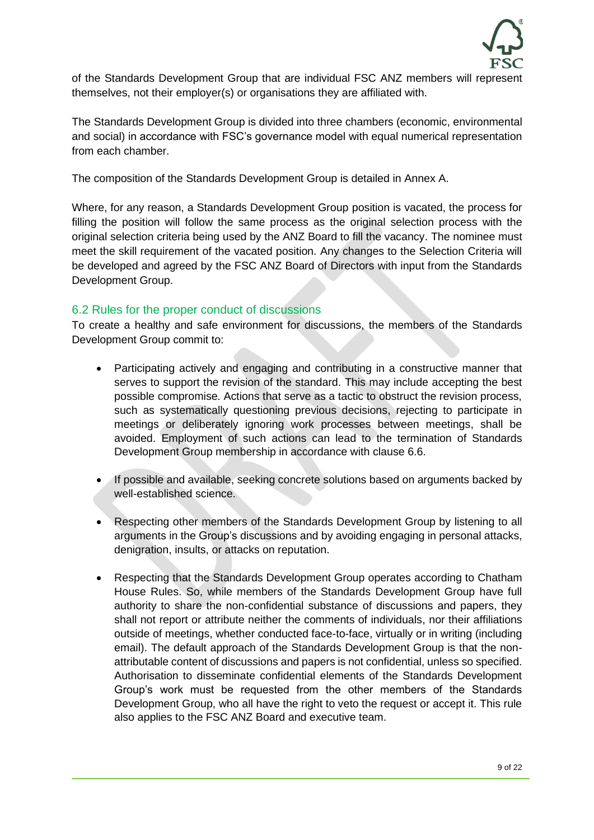

of the Standards Development Group that are individual FSC ANZ members will represent themselves, not their employer(s) or organisations they are affiliated with.

The Standards Development Group is divided into three chambers (economic, environmental and social) in accordance with FSC's governance model with equal numerical representation from each chamber.

The composition of the Standards Development Group is detailed in Annex A.

Where, for any reason, a Standards Development Group position is vacated, the process for filling the position will follow the same process as the original selection process with the original selection criteria being used by the ANZ Board to fill the vacancy. The nominee must meet the skill requirement of the vacated position. Any changes to the Selection Criteria will be developed and agreed by the FSC ANZ Board of Directors with input from the Standards Development Group.

#### 6.2 Rules for the proper conduct of discussions

To create a healthy and safe environment for discussions, the members of the Standards Development Group commit to:

- Participating actively and engaging and contributing in a constructive manner that serves to support the revision of the standard. This may include accepting the best possible compromise. Actions that serve as a tactic to obstruct the revision process, such as systematically questioning previous decisions, rejecting to participate in meetings or deliberately ignoring work processes between meetings, shall be avoided. Employment of such actions can lead to the termination of Standards Development Group membership in accordance with clause 6.6.
- If possible and available, seeking concrete solutions based on arguments backed by well-established science.
- Respecting other members of the Standards Development Group by listening to all arguments in the Group's discussions and by avoiding engaging in personal attacks, denigration, insults, or attacks on reputation.
- Respecting that the Standards Development Group operates according to Chatham House Rules. So, while members of the Standards Development Group have full authority to share the non-confidential substance of discussions and papers, they shall not report or attribute neither the comments of individuals, nor their affiliations outside of meetings, whether conducted face-to-face, virtually or in writing (including email). The default approach of the Standards Development Group is that the nonattributable content of discussions and papers is not confidential, unless so specified. Authorisation to disseminate confidential elements of the Standards Development Group's work must be requested from the other members of the Standards Development Group, who all have the right to veto the request or accept it. This rule also applies to the FSC ANZ Board and executive team.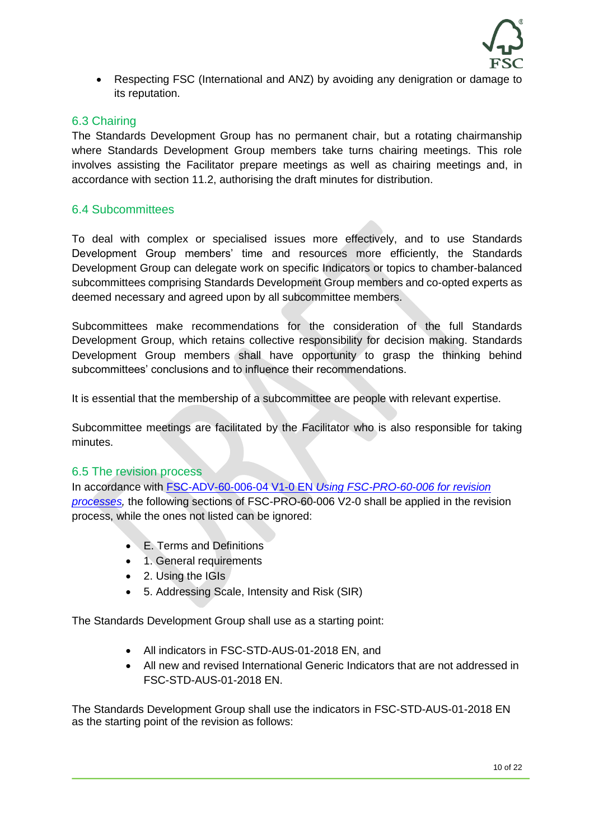

• Respecting FSC (International and ANZ) by avoiding any denigration or damage to its reputation.

#### 6.3 Chairing

The Standards Development Group has no permanent chair, but a rotating chairmanship where Standards Development Group members take turns chairing meetings. This role involves assisting the Facilitator prepare meetings as well as chairing meetings and, in accordance with section 11.2, authorising the draft minutes for distribution.

#### 6.4 Subcommittees

To deal with complex or specialised issues more effectively, and to use Standards Development Group members' time and resources more efficiently, the Standards Development Group can delegate work on specific Indicators or topics to chamber-balanced subcommittees comprising Standards Development Group members and co-opted experts as deemed necessary and agreed upon by all subcommittee members.

Subcommittees make recommendations for the consideration of the full Standards Development Group, which retains collective responsibility for decision making. Standards Development Group members shall have opportunity to grasp the thinking behind subcommittees' conclusions and to influence their recommendations.

It is essential that the membership of a subcommittee are people with relevant expertise.

Subcommittee meetings are facilitated by the Facilitator who is also responsible for taking minutes.

#### 6.5 The revision process

In accordance with FSC-ADV-60-006-04 V1-0 EN *[Using FSC-PRO-60-006 for revision](https://fsc.org/en/document-centre/documents/resource/518)  [processes,](https://fsc.org/en/document-centre/documents/resource/518)* the following sections of FSC-PRO-60-006 V2-0 shall be applied in the revision process, while the ones not listed can be ignored:

- E. Terms and Definitions
- 1. General requirements
- 2. Using the IGIs
- 5. Addressing Scale, Intensity and Risk (SIR)

The Standards Development Group shall use as a starting point:

- All indicators in FSC-STD-AUS-01-2018 EN, and
- All new and revised International Generic Indicators that are not addressed in FSC-STD-AUS-01-2018 EN.

The Standards Development Group shall use the indicators in FSC-STD-AUS-01-2018 EN as the starting point of the revision as follows: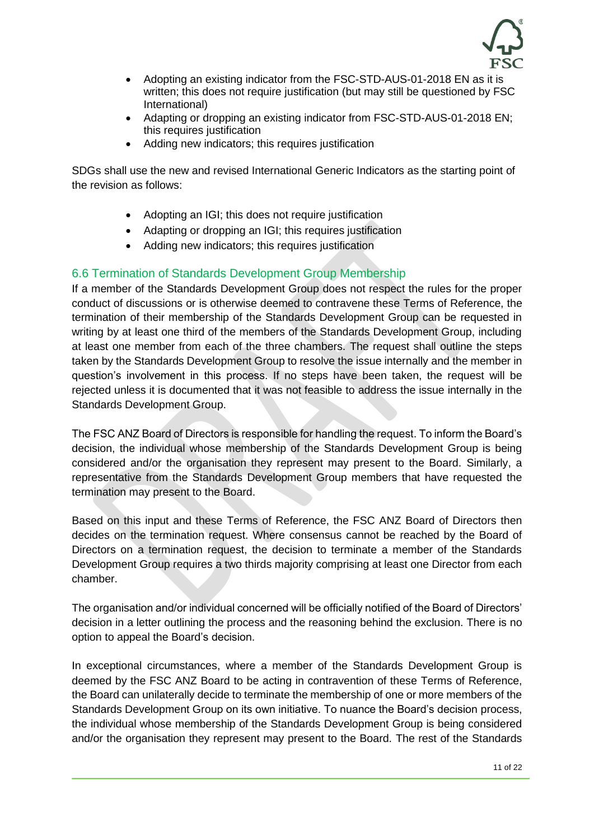

- Adopting an existing indicator from the FSC-STD-AUS-01-2018 EN as it is written; this does not require justification (but may still be questioned by FSC International)
- Adapting or dropping an existing indicator from FSC-STD-AUS-01-2018 EN: this requires justification
- Adding new indicators; this requires justification

SDGs shall use the new and revised International Generic Indicators as the starting point of the revision as follows:

- Adopting an IGI; this does not require justification
- Adapting or dropping an IGI; this requires justification
- Adding new indicators; this requires justification

#### 6.6 Termination of Standards Development Group Membership

If a member of the Standards Development Group does not respect the rules for the proper conduct of discussions or is otherwise deemed to contravene these Terms of Reference, the termination of their membership of the Standards Development Group can be requested in writing by at least one third of the members of the Standards Development Group, including at least one member from each of the three chambers. The request shall outline the steps taken by the Standards Development Group to resolve the issue internally and the member in question's involvement in this process. If no steps have been taken, the request will be rejected unless it is documented that it was not feasible to address the issue internally in the Standards Development Group.

The FSC ANZ Board of Directors is responsible for handling the request. To inform the Board's decision, the individual whose membership of the Standards Development Group is being considered and/or the organisation they represent may present to the Board. Similarly, a representative from the Standards Development Group members that have requested the termination may present to the Board.

Based on this input and these Terms of Reference, the FSC ANZ Board of Directors then decides on the termination request. Where consensus cannot be reached by the Board of Directors on a termination request, the decision to terminate a member of the Standards Development Group requires a two thirds majority comprising at least one Director from each chamber.

The organisation and/or individual concerned will be officially notified of the Board of Directors' decision in a letter outlining the process and the reasoning behind the exclusion. There is no option to appeal the Board's decision.

In exceptional circumstances, where a member of the Standards Development Group is deemed by the FSC ANZ Board to be acting in contravention of these Terms of Reference, the Board can unilaterally decide to terminate the membership of one or more members of the Standards Development Group on its own initiative. To nuance the Board's decision process, the individual whose membership of the Standards Development Group is being considered and/or the organisation they represent may present to the Board. The rest of the Standards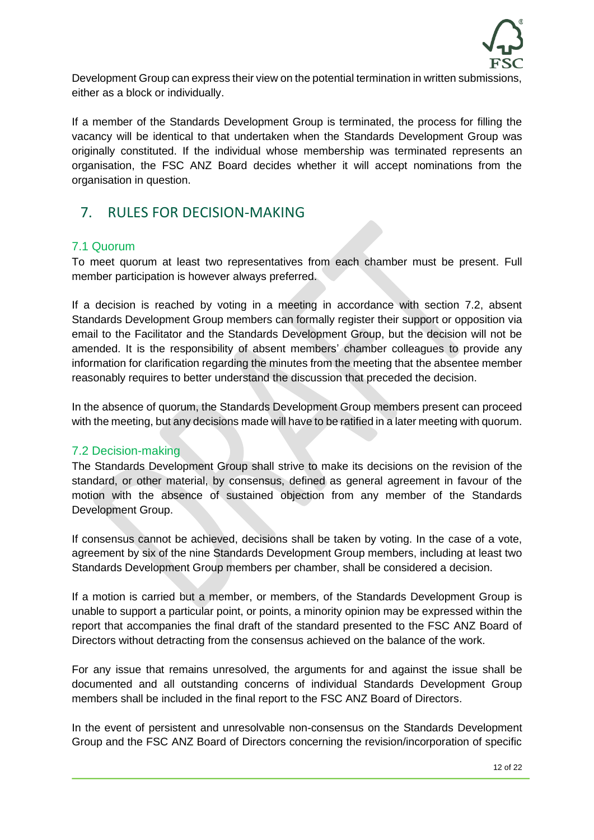

Development Group can express their view on the potential termination in written submissions, either as a block or individually.

If a member of the Standards Development Group is terminated, the process for filling the vacancy will be identical to that undertaken when the Standards Development Group was originally constituted. If the individual whose membership was terminated represents an organisation, the FSC ANZ Board decides whether it will accept nominations from the organisation in question.

# 7. RULES FOR DECISION-MAKING

#### 7.1 Quorum

To meet quorum at least two representatives from each chamber must be present. Full member participation is however always preferred.

If a decision is reached by voting in a meeting in accordance with section 7.2, absent Standards Development Group members can formally register their support or opposition via email to the Facilitator and the Standards Development Group, but the decision will not be amended. It is the responsibility of absent members' chamber colleagues to provide any information for clarification regarding the minutes from the meeting that the absentee member reasonably requires to better understand the discussion that preceded the decision.

In the absence of quorum, the Standards Development Group members present can proceed with the meeting, but any decisions made will have to be ratified in a later meeting with quorum.

#### 7.2 Decision-making

The Standards Development Group shall strive to make its decisions on the revision of the standard, or other material, by consensus, defined as general agreement in favour of the motion with the absence of sustained objection from any member of the Standards Development Group.

If consensus cannot be achieved, decisions shall be taken by voting. In the case of a vote, agreement by six of the nine Standards Development Group members, including at least two Standards Development Group members per chamber, shall be considered a decision.

If a motion is carried but a member, or members, of the Standards Development Group is unable to support a particular point, or points, a minority opinion may be expressed within the report that accompanies the final draft of the standard presented to the FSC ANZ Board of Directors without detracting from the consensus achieved on the balance of the work.

For any issue that remains unresolved, the arguments for and against the issue shall be documented and all outstanding concerns of individual Standards Development Group members shall be included in the final report to the FSC ANZ Board of Directors.

In the event of persistent and unresolvable non-consensus on the Standards Development Group and the FSC ANZ Board of Directors concerning the revision/incorporation of specific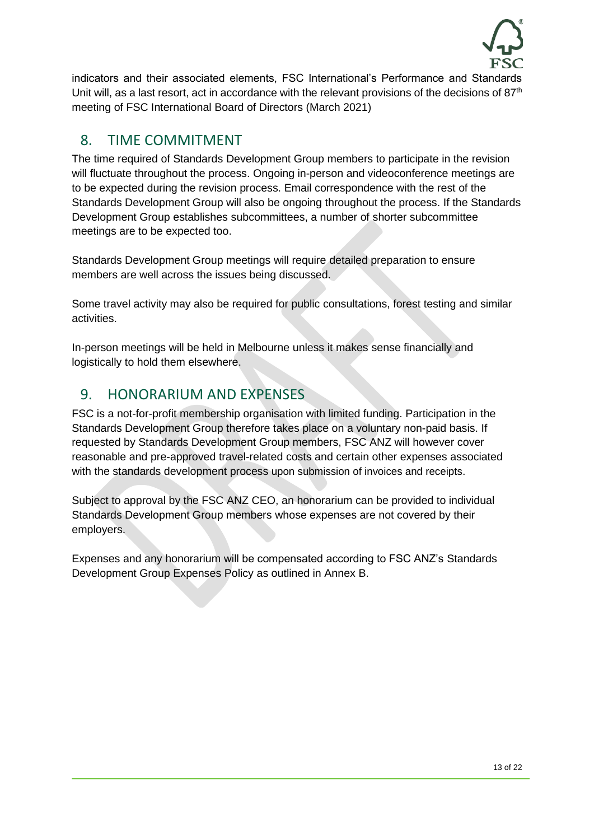

indicators and their associated elements, FSC International's Performance and Standards Unit will, as a last resort, act in accordance with the relevant provisions of the decisions of  $87<sup>th</sup>$ meeting of FSC International Board of Directors (March 2021)

# 8. TIME COMMITMENT

The time required of Standards Development Group members to participate in the revision will fluctuate throughout the process. Ongoing in-person and videoconference meetings are to be expected during the revision process. Email correspondence with the rest of the Standards Development Group will also be ongoing throughout the process. If the Standards Development Group establishes subcommittees, a number of shorter subcommittee meetings are to be expected too.

Standards Development Group meetings will require detailed preparation to ensure members are well across the issues being discussed.

Some travel activity may also be required for public consultations, forest testing and similar activities.

In-person meetings will be held in Melbourne unless it makes sense financially and logistically to hold them elsewhere.

# 9. HONORARIUM AND EXPENSES

FSC is a not-for-profit membership organisation with limited funding. Participation in the Standards Development Group therefore takes place on a voluntary non-paid basis. If requested by Standards Development Group members, FSC ANZ will however cover reasonable and pre-approved travel-related costs and certain other expenses associated with the standards development process upon submission of invoices and receipts.

Subject to approval by the FSC ANZ CEO, an honorarium can be provided to individual Standards Development Group members whose expenses are not covered by their employers.

Expenses and any honorarium will be compensated according to FSC ANZ's Standards Development Group Expenses Policy as outlined in Annex B.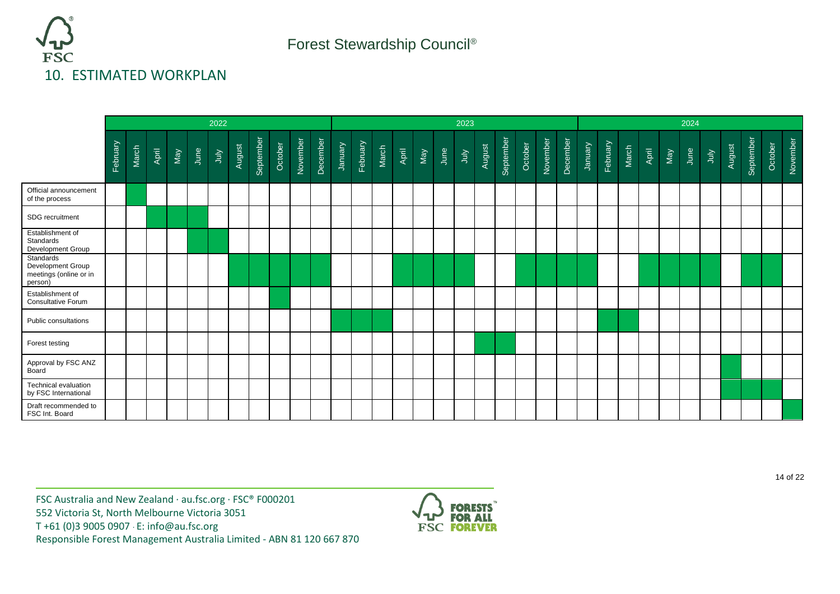

|                                                                     | 2022     |       |       |     |      |      |        | 2023      |         |          |          |                |          |       |       |     | 2024 |      |        |           |         |          |          |                |          |       |       |     |      |      |        |           |         |          |
|---------------------------------------------------------------------|----------|-------|-------|-----|------|------|--------|-----------|---------|----------|----------|----------------|----------|-------|-------|-----|------|------|--------|-----------|---------|----------|----------|----------------|----------|-------|-------|-----|------|------|--------|-----------|---------|----------|
|                                                                     | February | March | April | Vay | June | ylnr | August | September | October | November | December | <b>January</b> | February | March | April | May | June | ylnr | August | September | October | November | December | <b>January</b> | February | March | April | May | June | ylnr | August | September | October | November |
| Official announcement<br>of the process                             |          |       |       |     |      |      |        |           |         |          |          |                |          |       |       |     |      |      |        |           |         |          |          |                |          |       |       |     |      |      |        |           |         |          |
| SDG recruitment                                                     |          |       |       |     |      |      |        |           |         |          |          |                |          |       |       |     |      |      |        |           |         |          |          |                |          |       |       |     |      |      |        |           |         |          |
| Establishment of<br>Standards<br>Development Group                  |          |       |       |     |      |      |        |           |         |          |          |                |          |       |       |     |      |      |        |           |         |          |          |                |          |       |       |     |      |      |        |           |         |          |
| Standards<br>Development Group<br>meetings (online or in<br>person) |          |       |       |     |      |      |        |           |         |          |          |                |          |       |       |     |      |      |        |           |         |          |          |                |          |       |       |     |      |      |        |           |         |          |
| Establishment of<br><b>Consultative Forum</b>                       |          |       |       |     |      |      |        |           |         |          |          |                |          |       |       |     |      |      |        |           |         |          |          |                |          |       |       |     |      |      |        |           |         |          |
| Public consultations                                                |          |       |       |     |      |      |        |           |         |          |          |                |          |       |       |     |      |      |        |           |         |          |          |                |          |       |       |     |      |      |        |           |         |          |
| Forest testing                                                      |          |       |       |     |      |      |        |           |         |          |          |                |          |       |       |     |      |      |        |           |         |          |          |                |          |       |       |     |      |      |        |           |         |          |
| Approval by FSC ANZ<br>Board                                        |          |       |       |     |      |      |        |           |         |          |          |                |          |       |       |     |      |      |        |           |         |          |          |                |          |       |       |     |      |      |        |           |         |          |
| <b>Technical evaluation</b><br>by FSC International                 |          |       |       |     |      |      |        |           |         |          |          |                |          |       |       |     |      |      |        |           |         |          |          |                |          |       |       |     |      |      |        |           |         |          |
| Draft recommended to<br>FSC Int. Board                              |          |       |       |     |      |      |        |           |         |          |          |                |          |       |       |     |      |      |        |           |         |          |          |                |          |       |       |     |      |      |        |           |         |          |

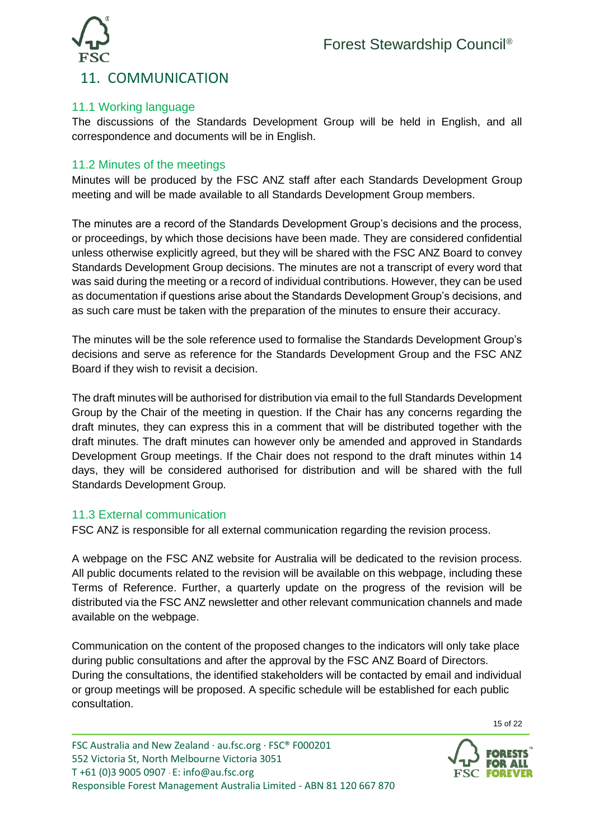

#### 11.1 Working language

The discussions of the Standards Development Group will be held in English, and all correspondence and documents will be in English.

#### 11.2 Minutes of the meetings

Minutes will be produced by the FSC ANZ staff after each Standards Development Group meeting and will be made available to all Standards Development Group members.

The minutes are a record of the Standards Development Group's decisions and the process, or proceedings, by which those decisions have been made. They are considered confidential unless otherwise explicitly agreed, but they will be shared with the FSC ANZ Board to convey Standards Development Group decisions. The minutes are not a transcript of every word that was said during the meeting or a record of individual contributions. However, they can be used as documentation if questions arise about the Standards Development Group's decisions, and as such care must be taken with the preparation of the minutes to ensure their accuracy.

The minutes will be the sole reference used to formalise the Standards Development Group's decisions and serve as reference for the Standards Development Group and the FSC ANZ Board if they wish to revisit a decision.

The draft minutes will be authorised for distribution via email to the full Standards Development Group by the Chair of the meeting in question. If the Chair has any concerns regarding the draft minutes, they can express this in a comment that will be distributed together with the draft minutes. The draft minutes can however only be amended and approved in Standards Development Group meetings. If the Chair does not respond to the draft minutes within 14 days, they will be considered authorised for distribution and will be shared with the full Standards Development Group.

#### 11.3 External communication

FSC ANZ is responsible for all external communication regarding the revision process.

A webpage on the FSC ANZ website for Australia will be dedicated to the revision process. All public documents related to the revision will be available on this webpage, including these Terms of Reference. Further, a quarterly update on the progress of the revision will be distributed via the FSC ANZ newsletter and other relevant communication channels and made available on the webpage.

Communication on the content of the proposed changes to the indicators will only take place during public consultations and after the approval by the FSC ANZ Board of Directors. During the consultations, the identified stakeholders will be contacted by email and individual or group meetings will be proposed. A specific schedule will be established for each public consultation.

FSC Australia and New Zealand · au.fsc.org · FSC® F000201 552 Victoria St, North Melbourne Victoria 3051 T +61 (0)3 9005 0907 · E[: info@au.fsc.org](mailto:info@au.fsc.org) Responsible Forest Management Australia Limited - ABN [81 120 667 870](tel:81%20120%20667%20870)



15 of 22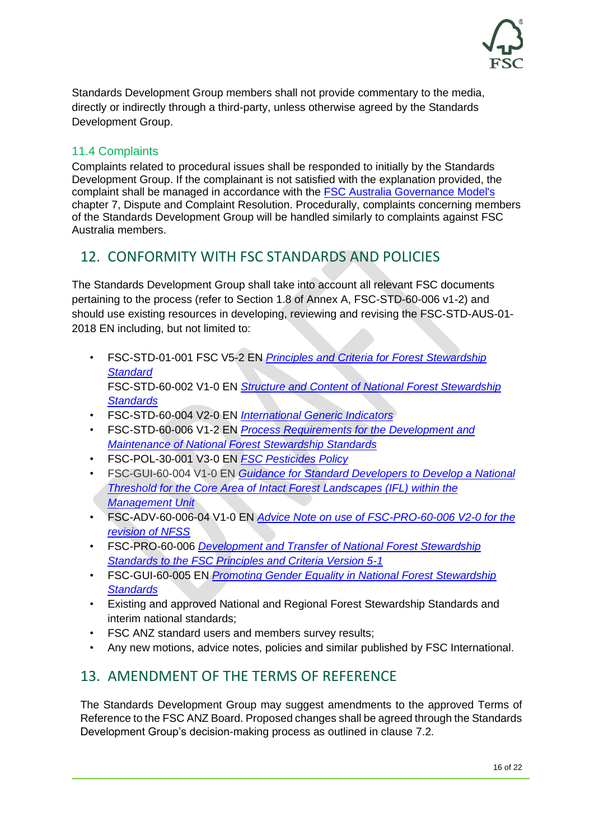

Standards Development Group members shall not provide commentary to the media, directly or indirectly through a third-party, unless otherwise agreed by the Standards Development Group.

#### 11.4 Complaints

Complaints related to procedural issues shall be responded to initially by the Standards Development Group. If the complainant is not satisfied with the explanation provided, the complaint shall be managed in accordance with the [FSC Australia Governance Model's](https://au.fsc.org/en-au/about-fsc/fsc-australia/fsc-australia-governance/fsc-australia-institutional-documents) chapter 7, Dispute and Complaint Resolution. Procedurally, complaints concerning members of the Standards Development Group will be handled similarly to complaints against FSC Australia members.

# 12. CONFORMITY WITH FSC STANDARDS AND POLICIES

The Standards Development Group shall take into account all relevant FSC documents pertaining to the process (refer to Section 1.8 of Annex A, FSC-STD-60-006 v1-2) and should use existing resources in developing, reviewing and revising the FSC-STD-AUS-01- 2018 EN including, but not limited to:

- FSC-STD-01-001 FSC V5-2 EN *[Principles and Criteria for Forest Stewardship](https://fsc.org/en/document-centre/documents/resource/392)  [Standard](https://fsc.org/en/document-centre/documents/resource/392)* FSC-STD-60-002 V1-0 EN *[Structure and Content of National Forest Stewardship](https://fsc.org/en/document-centre/documents/resource/261)  [Standards](https://fsc.org/en/document-centre/documents/resource/261)*
- FSC-STD-60-004 V2-0 EN *[International Generic Indicators](https://fsc.org/en/document-centre/documents/resource/262)*
- FSC-STD-60-006 V1-2 EN *[Process Requirements for the Development and](https://fsc.org/en/document-centre/documents/resource/259)  [Maintenance of National Forest Stewardship Standards](https://fsc.org/en/document-centre/documents/resource/259)*
- FSC-POL-30-001 V3-0 EN *[FSC Pesticides Policy](https://fsc.org/en/document-centre/documents/resource/208)*
- FSC-GUI-60-004 V1-0 EN *[Guidance for Standard Developers to Develop a National](https://fsc.org/en/document-centre/documents/resource/443)  [Threshold for the Core Area of Intact Forest Landscapes \(IFL\) within the](https://fsc.org/en/document-centre/documents/resource/443)  [Management Unit](https://fsc.org/en/document-centre/documents/resource/443)*
- FSC-ADV-60-006-04 V1-0 EN *[Advice Note on use of FSC-PRO-60-006 V2-0 for the](https://fsc.org/en/document-centre/documents/resource/518)  [revision of NFSS](https://fsc.org/en/document-centre/documents/resource/518)*
- FSC-PRO-60-006 *[Development and Transfer of National Forest Stewardship](https://fsc.org/en/document-centre/documents/resource/320)  [Standards to the FSC Principles and Criteria Version 5-1](https://fsc.org/en/document-centre/documents/resource/320)*
- FSC-GUI-60-005 EN *[Promoting Gender Equality in National Forest Stewardship](https://fsc.org/en/document-centre/documents/resource/247)  [Standards](https://fsc.org/en/document-centre/documents/resource/247)*
- Existing and approved National and Regional Forest Stewardship Standards and interim national standards;
- FSC ANZ standard users and members survey results;
- Any new motions, advice notes, policies and similar published by FSC International.

# 13. AMENDMENT OF THE TERMS OF REFERENCE

The Standards Development Group may suggest amendments to the approved Terms of Reference to the FSC ANZ Board. Proposed changes shall be agreed through the Standards Development Group's decision-making process as outlined in clause 7.2.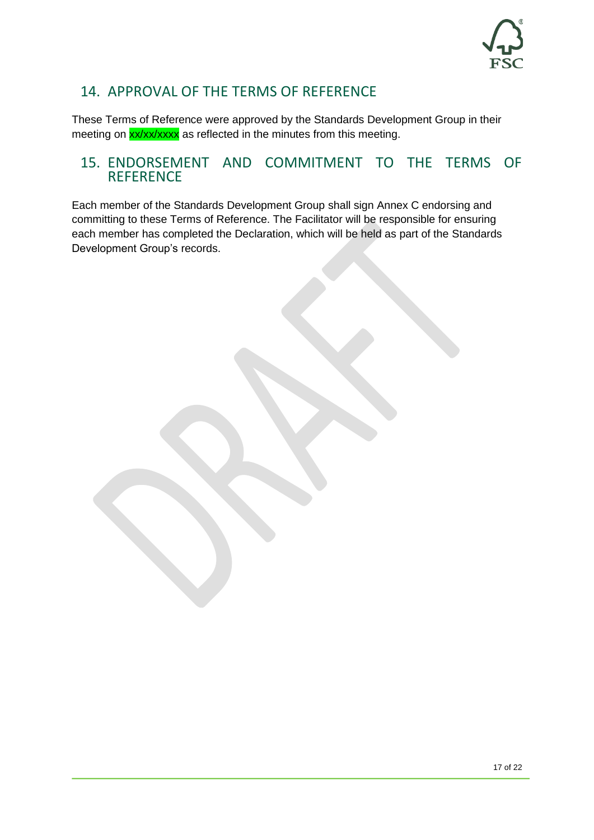

# 14. APPROVAL OF THE TERMS OF REFERENCE

These Terms of Reference were approved by the Standards Development Group in their meeting on xx/xx/xxxx as reflected in the minutes from this meeting.

#### 15. ENDORSEMENT AND COMMITMENT TO THE TERMS OF **REFERENCE**

Each member of the Standards Development Group shall sign Annex C endorsing and committing to these Terms of Reference. The Facilitator will be responsible for ensuring each member has completed the Declaration, which will be held as part of the Standards Development Group's records.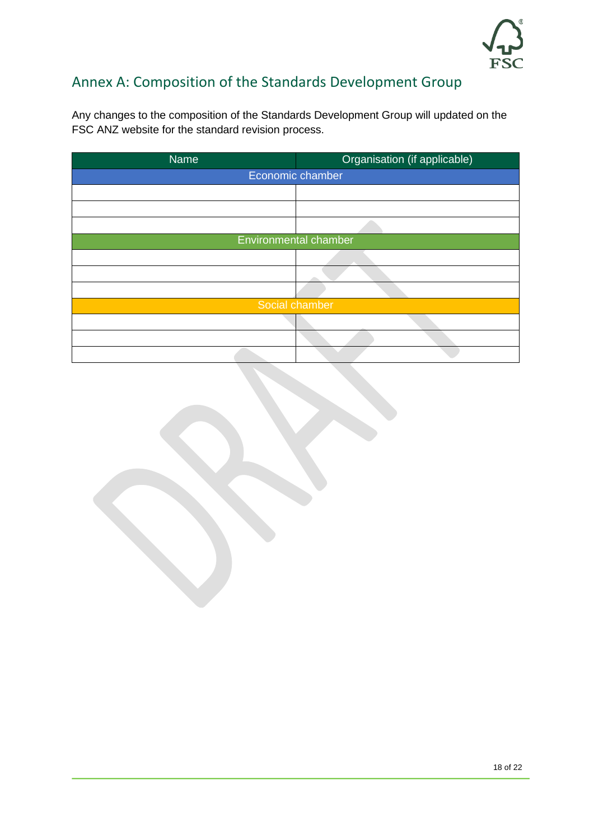

# Annex A: Composition of the Standards Development Group

Any changes to the composition of the Standards Development Group will updated on the FSC ANZ website for the standard revision process.

| <b>Name</b> | Organisation (if applicable) |
|-------------|------------------------------|
|             | Economic chamber             |
|             |                              |
|             |                              |
|             |                              |
|             | Environmental chamber        |
|             |                              |
|             |                              |
|             |                              |
|             | Social chamber               |
|             |                              |
|             |                              |
|             |                              |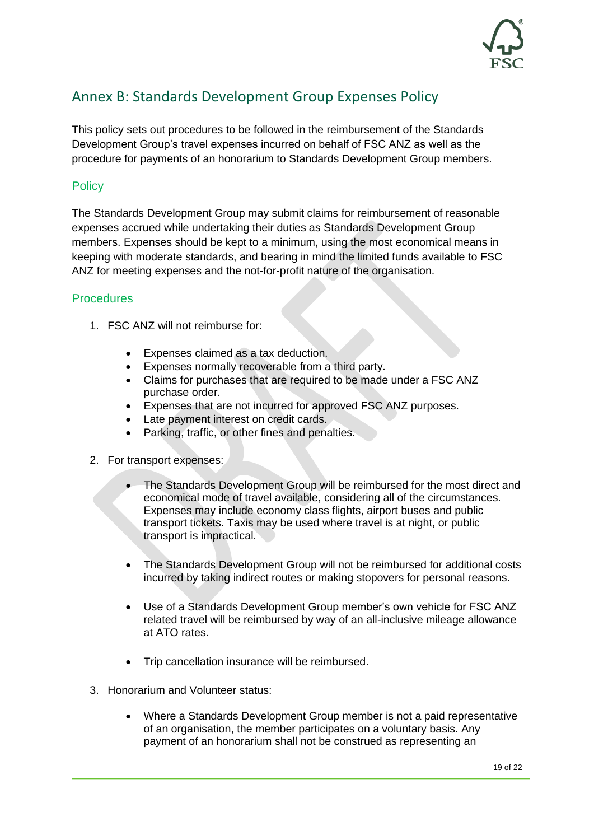

# Annex B: Standards Development Group Expenses Policy

This policy sets out procedures to be followed in the reimbursement of the Standards Development Group's travel expenses incurred on behalf of FSC ANZ as well as the procedure for payments of an honorarium to Standards Development Group members.

#### **Policy**

The Standards Development Group may submit claims for reimbursement of reasonable expenses accrued while undertaking their duties as Standards Development Group members. Expenses should be kept to a minimum, using the most economical means in keeping with moderate standards, and bearing in mind the limited funds available to FSC ANZ for meeting expenses and the not-for-profit nature of the organisation.

#### **Procedures**

- 1. FSC ANZ will not reimburse for:
	- Expenses claimed as a tax deduction.
	- Expenses normally recoverable from a third party.
	- Claims for purchases that are required to be made under a FSC ANZ purchase order.
	- Expenses that are not incurred for approved FSC ANZ purposes.
	- Late payment interest on credit cards.
	- Parking, traffic, or other fines and penalties.
- 2. For transport expenses:
	- The Standards Development Group will be reimbursed for the most direct and economical mode of travel available, considering all of the circumstances. Expenses may include economy class flights, airport buses and public transport tickets. Taxis may be used where travel is at night, or public transport is impractical.
	- The Standards Development Group will not be reimbursed for additional costs incurred by taking indirect routes or making stopovers for personal reasons.
	- Use of a Standards Development Group member's own vehicle for FSC ANZ related travel will be reimbursed by way of an all-inclusive mileage allowance at ATO rates.
	- Trip cancellation insurance will be reimbursed.
- 3. Honorarium and Volunteer status:
	- Where a Standards Development Group member is not a paid representative of an organisation, the member participates on a voluntary basis. Any payment of an honorarium shall not be construed as representing an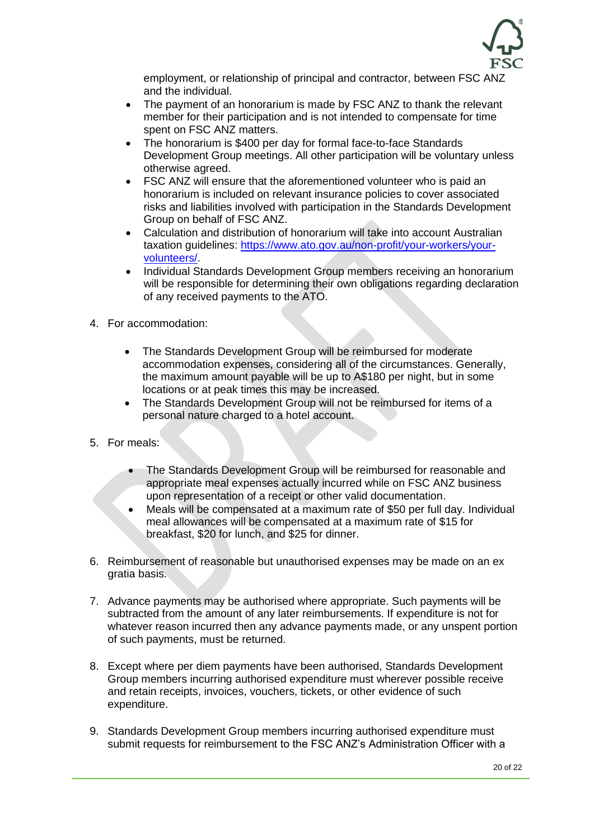

employment, or relationship of principal and contractor, between FSC ANZ and the individual.

- The payment of an honorarium is made by FSC ANZ to thank the relevant member for their participation and is not intended to compensate for time spent on FSC ANZ matters.
- The honorarium is \$400 per day for formal face-to-face Standards Development Group meetings. All other participation will be voluntary unless otherwise agreed.
- FSC ANZ will ensure that the aforementioned volunteer who is paid an honorarium is included on relevant insurance policies to cover associated risks and liabilities involved with participation in the Standards Development Group on behalf of FSC ANZ.
- Calculation and distribution of honorarium will take into account Australian taxation guidelines: [https://www.ato.gov.au/non-profit/your-workers/your](https://www.ato.gov.au/non-profit/your-workers/your-volunteers/)[volunteers/.](https://www.ato.gov.au/non-profit/your-workers/your-volunteers/)
- Individual Standards Development Group members receiving an honorarium will be responsible for determining their own obligations regarding declaration of any received payments to the ATO.
- 4. For accommodation:
	- The Standards Development Group will be reimbursed for moderate accommodation expenses, considering all of the circumstances. Generally, the maximum amount payable will be up to A\$180 per night, but in some locations or at peak times this may be increased.
	- The Standards Development Group will not be reimbursed for items of a personal nature charged to a hotel account.
- 5. For meals:
	- The Standards Development Group will be reimbursed for reasonable and appropriate meal expenses actually incurred while on FSC ANZ business upon representation of a receipt or other valid documentation.
	- Meals will be compensated at a maximum rate of \$50 per full day. Individual meal allowances will be compensated at a maximum rate of \$15 for breakfast, \$20 for lunch, and \$25 for dinner.
- 6. Reimbursement of reasonable but unauthorised expenses may be made on an ex gratia basis.
- 7. Advance payments may be authorised where appropriate. Such payments will be subtracted from the amount of any later reimbursements. If expenditure is not for whatever reason incurred then any advance payments made, or any unspent portion of such payments, must be returned.
- 8. Except where per diem payments have been authorised, Standards Development Group members incurring authorised expenditure must wherever possible receive and retain receipts, invoices, vouchers, tickets, or other evidence of such expenditure.
- 9. Standards Development Group members incurring authorised expenditure must submit requests for reimbursement to the FSC ANZ's Administration Officer with a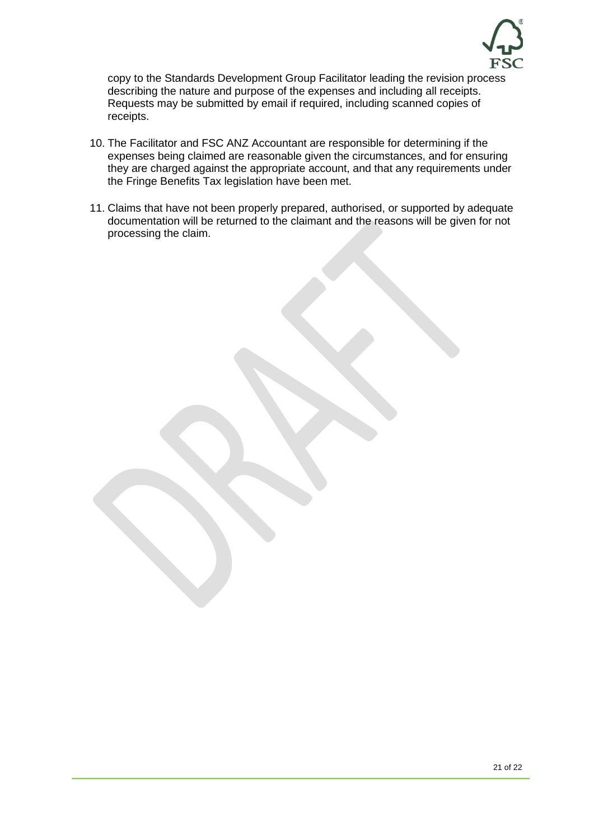

copy to the Standards Development Group Facilitator leading the revision process describing the nature and purpose of the expenses and including all receipts. Requests may be submitted by email if required, including scanned copies of receipts.

- 10. The Facilitator and FSC ANZ Accountant are responsible for determining if the expenses being claimed are reasonable given the circumstances, and for ensuring they are charged against the appropriate account, and that any requirements under the Fringe Benefits Tax legislation have been met.
- 11. Claims that have not been properly prepared, authorised, or supported by adequate documentation will be returned to the claimant and the reasons will be given for not processing the claim.